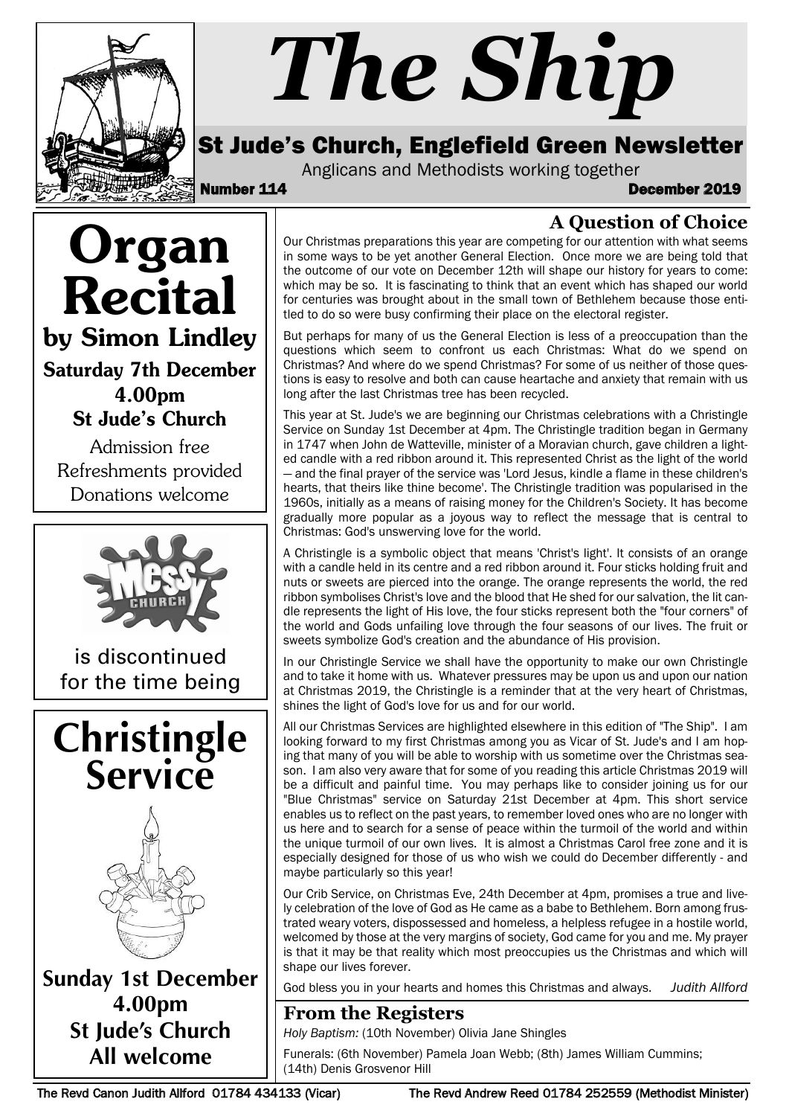

# *The Ship*

## St Jude's Church, Englefield Green Newsletter

Anglicans and Methodists working together<br>**December 114** December 2019

Organ Recital by Simon Lindley Saturday 7th December 4.00pm

St Jude's Church

Admission free Refreshments provided Donations welcome



is discontinued for the time being





**Sunday 1st December 4.00pm St Jude's Church All welcome**

**A Question of Choice**

Our Christmas preparations this year are competing for our attention with what seems in some ways to be yet another General Election. Once more we are being told that the outcome of our vote on December 12th will shape our history for years to come: which may be so. It is fascinating to think that an event which has shaped our world for centuries was brought about in the small town of Bethlehem because those entitled to do so were busy confirming their place on the electoral register.

But perhaps for many of us the General Election is less of a preoccupation than the questions which seem to confront us each Christmas: What do we spend on Christmas? And where do we spend Christmas? For some of us neither of those questions is easy to resolve and both can cause heartache and anxiety that remain with us long after the last Christmas tree has been recycled.

This year at St. Jude's we are beginning our Christmas celebrations with a Christingle Service on Sunday 1st December at 4pm. The Christingle tradition began in Germany in 1747 when John de Watteville, minister of a Moravian church, gave children a lighted candle with a red ribbon around it. This represented Christ as the light of the world — and the final prayer of the service was 'Lord Jesus, kindle a flame in these children's hearts, that theirs like thine become'. The Christingle tradition was popularised in the 1960s, initially as a means of raising money for the Children's Society. It has become gradually more popular as a joyous way to reflect the message that is central to Christmas: God's unswerving love for the world.

A Christingle is a symbolic object that means 'Christ's light'. It consists of an orange with a candle held in its centre and a red ribbon around it. Four sticks holding fruit and nuts or sweets are pierced into the orange. The orange represents the world, the red ribbon symbolises Christ's love and the blood that He shed for our salvation, the lit candle represents the light of His love, the four sticks represent both the "four corners" of the world and Gods unfailing love through the four seasons of our lives. The fruit or sweets symbolize God's creation and the abundance of His provision.

In our Christingle Service we shall have the opportunity to make our own Christingle and to take it home with us. Whatever pressures may be upon us and upon our nation at Christmas 2019, the Christingle is a reminder that at the very heart of Christmas, shines the light of God's love for us and for our world.

All our Christmas Services are highlighted elsewhere in this edition of "The Ship". I am looking forward to my first Christmas among you as Vicar of St. Jude's and I am hoping that many of you will be able to worship with us sometime over the Christmas season. I am also very aware that for some of you reading this article Christmas 2019 will be a difficult and painful time. You may perhaps like to consider joining us for our "Blue Christmas" service on Saturday 21st December at 4pm. This short service enables us to reflect on the past years, to remember loved ones who are no longer with us here and to search for a sense of peace within the turmoil of the world and within the unique turmoil of our own lives. It is almost a Christmas Carol free zone and it is especially designed for those of us who wish we could do December differently - and maybe particularly so this year!

Our Crib Service, on Christmas Eve, 24th December at 4pm, promises a true and lively celebration of the love of God as He came as a babe to Bethlehem. Born among frustrated weary voters, dispossessed and homeless, a helpless refugee in a hostile world, welcomed by those at the very margins of society, God came for you and me. My prayer is that it may be that reality which most preoccupies us the Christmas and which will shape our lives forever.

God bless you in your hearts and homes this Christmas and always. *Judith Allford*

### **From the Registers**

*Holy Baptism:* (10th November) Olivia Jane Shingles

Funerals: (6th November) Pamela Joan Webb; (8th) James William Cummins; (14th) Denis Grosvenor Hill

The Revd Canon Judith Allford 01784 434133 (Vicar) The Revd Andrew Reed 01784 252559 (Methodist Minister)